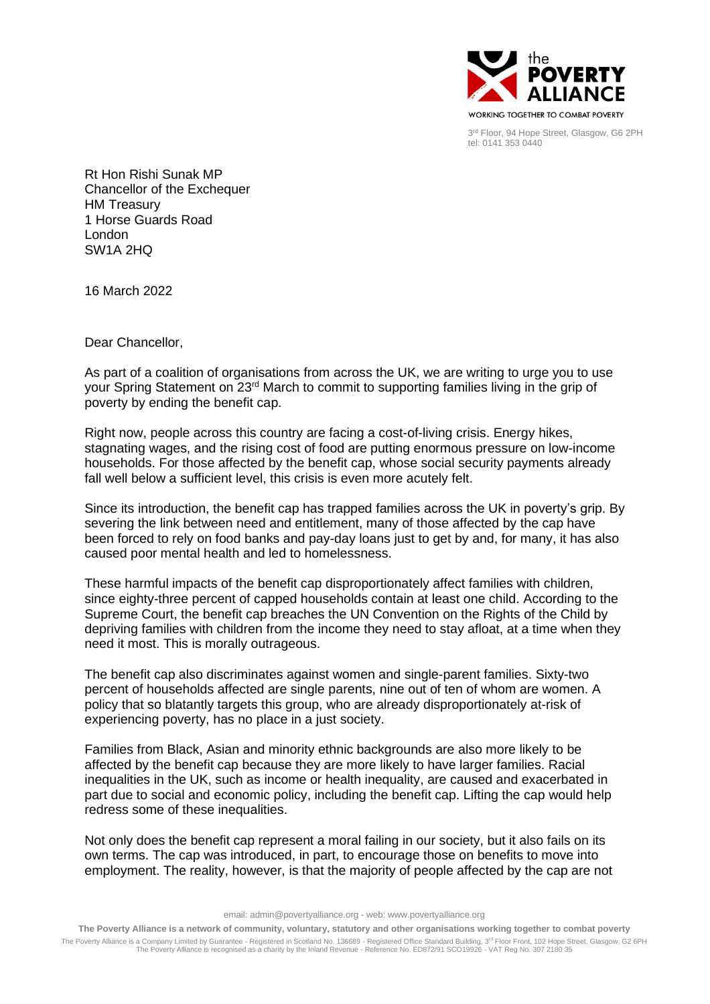

3 rd Floor, 94 Hope Street, Glasgow, G6 2PH tel: 0141 353 0440

Rt Hon Rishi Sunak MP Chancellor of the Exchequer HM Treasury 1 Horse Guards Road London SW1A 2HQ

16 March 2022

Dear Chancellor,

As part of a coalition of organisations from across the UK, we are writing to urge you to use your Spring Statement on 23<sup>rd</sup> March to commit to supporting families living in the grip of poverty by ending the benefit cap.

Right now, people across this country are facing a cost-of-living crisis. Energy hikes, stagnating wages, and the rising cost of food are putting enormous pressure on low-income households. For those affected by the benefit cap, whose social security payments already fall well below a sufficient level, this crisis is even more acutely felt.

Since its introduction, the benefit cap has trapped families across the UK in poverty's grip. By severing the link between need and entitlement, many of those affected by the cap have been forced to rely on food banks and pay-day loans just to get by and, for many, it has also caused poor mental health and led to homelessness.

These harmful impacts of the benefit cap disproportionately affect families with children, since eighty-three percent of capped households contain at least one child. According to the Supreme Court, the benefit cap breaches the UN Convention on the Rights of the Child by depriving families with children from the income they need to stay afloat, at a time when they need it most. This is morally outrageous.

The benefit cap also discriminates against women and single-parent families. Sixty-two percent of households affected are single parents, nine out of ten of whom are women. A policy that so blatantly targets this group, who are already disproportionately at-risk of experiencing poverty, has no place in a just society.

Families from Black, Asian and minority ethnic backgrounds are also more likely to be affected by the benefit cap because they are more likely to have larger families. Racial inequalities in the UK, such as income or health inequality, are caused and exacerbated in part due to social and economic policy, including the benefit cap. Lifting the cap would help redress some of these inequalities.

Not only does the benefit cap represent a moral failing in our society, but it also fails on its own terms. The cap was introduced, in part, to encourage those on benefits to move into employment. The reality, however, is that the majority of people affected by the cap are not

email: admin@povertyalliance.org - web: www.povertyalliance.org

**The Poverty Alliance is a network of community, voluntary, statutory and other organisations working together to combat poverty**

The Poverty Alliance is a Company Limited by Guarantee - Registered in Scotland No. 136689 - Registered Office Standard Building, 3<sup>rd</sup> Floor Front, 102 Hope Street, Glasgow, G2 6PH The Poverty Alliance is recognised as a charity by the Inland Revenue - Reference No. ED872/91 SCO19926 - VAT Reg No. 307 2180 35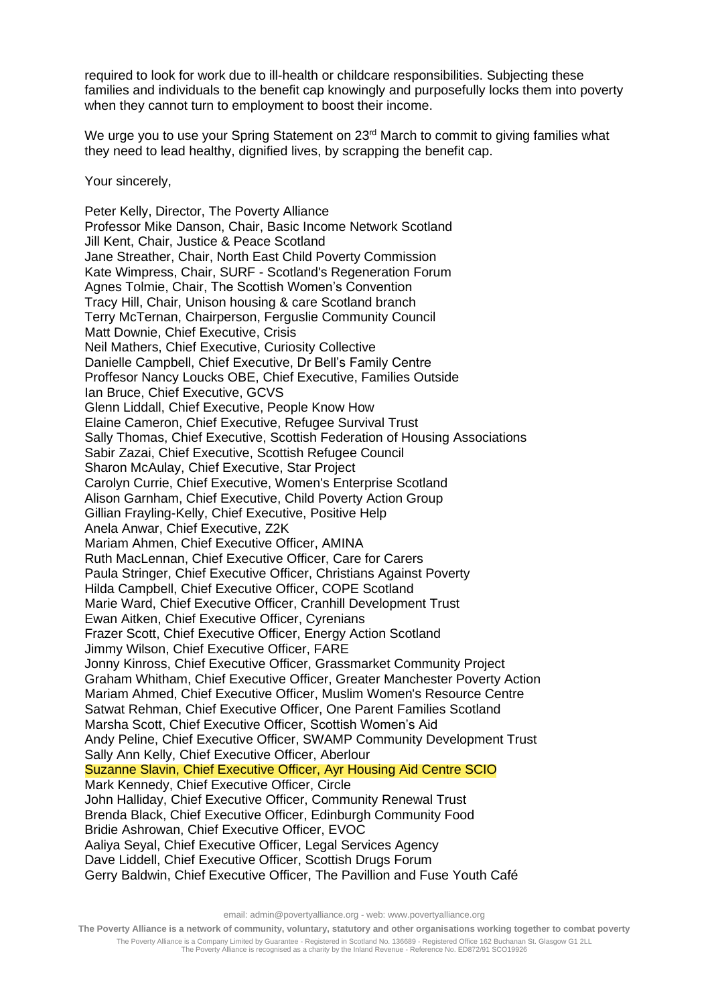required to look for work due to ill-health or childcare responsibilities. Subjecting these families and individuals to the benefit cap knowingly and purposefully locks them into poverty when they cannot turn to employment to boost their income.

We urge you to use your Spring Statement on 23<sup>rd</sup> March to commit to giving families what they need to lead healthy, dignified lives, by scrapping the benefit cap.

Your sincerely,

Peter Kelly, Director, The Poverty Alliance Professor Mike Danson, Chair, Basic Income Network Scotland Jill Kent, Chair, Justice & Peace Scotland Jane Streather, Chair, North East Child Poverty Commission Kate Wimpress, Chair, SURF - Scotland's Regeneration Forum Agnes Tolmie, Chair, The Scottish Women's Convention Tracy Hill, Chair, Unison housing & care Scotland branch Terry McTernan, Chairperson, Ferguslie Community Council Matt Downie, Chief Executive, Crisis Neil Mathers, Chief Executive, Curiosity Collective Danielle Campbell, Chief Executive, Dr Bell's Family Centre Proffesor Nancy Loucks OBE, Chief Executive, Families Outside Ian Bruce, Chief Executive, GCVS Glenn Liddall, Chief Executive, People Know How Elaine Cameron, Chief Executive, Refugee Survival Trust Sally Thomas, Chief Executive, Scottish Federation of Housing Associations Sabir Zazai, Chief Executive, Scottish Refugee Council Sharon McAulay, Chief Executive, Star Project Carolyn Currie, Chief Executive, Women's Enterprise Scotland Alison Garnham, Chief Executive, Child Poverty Action Group Gillian Frayling-Kelly, Chief Executive, Positive Help Anela Anwar, Chief Executive, Z2K Mariam Ahmen, Chief Executive Officer, AMINA Ruth MacLennan, Chief Executive Officer, Care for Carers Paula Stringer, Chief Executive Officer, Christians Against Poverty Hilda Campbell, Chief Executive Officer, COPE Scotland Marie Ward, Chief Executive Officer, Cranhill Development Trust Ewan Aitken, Chief Executive Officer, Cyrenians Frazer Scott, Chief Executive Officer, Energy Action Scotland Jimmy Wilson, Chief Executive Officer, FARE Jonny Kinross, Chief Executive Officer, Grassmarket Community Project Graham Whitham, Chief Executive Officer, Greater Manchester Poverty Action Mariam Ahmed, Chief Executive Officer, Muslim Women's Resource Centre Satwat Rehman, Chief Executive Officer, One Parent Families Scotland Marsha Scott, Chief Executive Officer, Scottish Women's Aid Andy Peline, Chief Executive Officer, SWAMP Community Development Trust Sally Ann Kelly, Chief Executive Officer, Aberlour Suzanne Slavin, Chief Executive Officer, Ayr Housing Aid Centre SCIO Mark Kennedy, Chief Executive Officer, Circle John Halliday, Chief Executive Officer, Community Renewal Trust Brenda Black, Chief Executive Officer, Edinburgh Community Food Bridie Ashrowan, Chief Executive Officer, EVOC Aaliya Seyal, Chief Executive Officer, Legal Services Agency Dave Liddell, Chief Executive Officer, Scottish Drugs Forum Gerry Baldwin, Chief Executive Officer, The Pavillion and Fuse Youth Café

email: admin@povertyalliance.org - web: www.povertyalliance.org

**The Poverty Alliance is a network of community, voluntary, statutory and other organisations working together to combat poverty**

The Poverty Alliance is a Company Limited by Guarantee - Registered in Scotland No. 136689 - Registered Office 162 Buchanan St. Glasgow G1 2LL The Poverty Alliance is recognised as a charity by the Inland Revenue - Reference No. ED872/91 SCO19926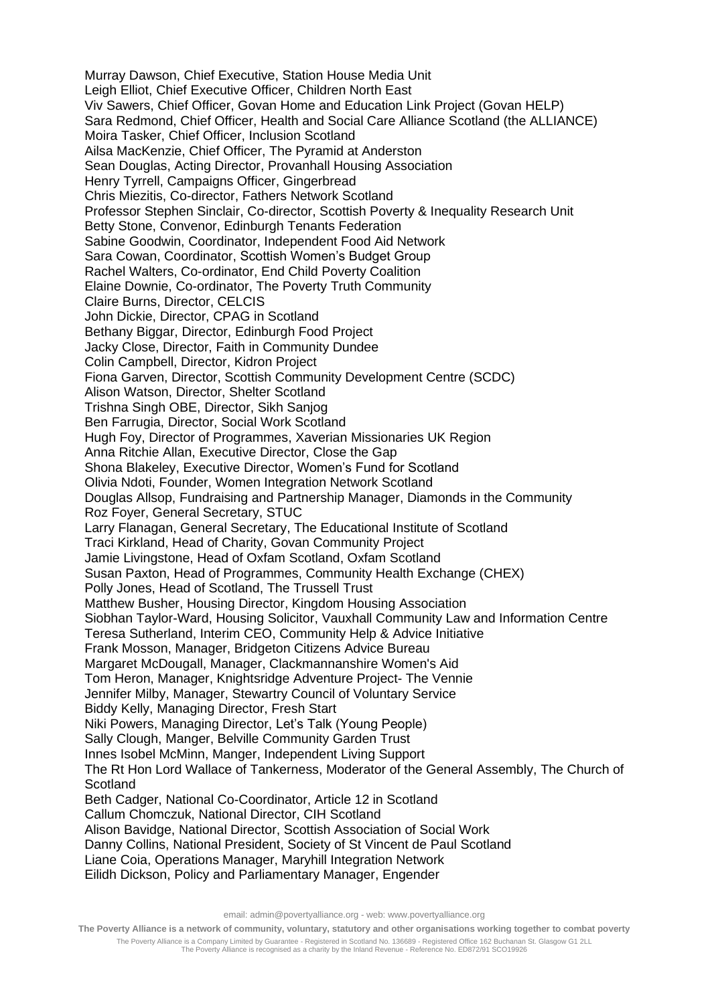Murray Dawson, Chief Executive, Station House Media Unit Leigh Elliot, Chief Executive Officer, Children North East Viv Sawers, Chief Officer, Govan Home and Education Link Project (Govan HELP) Sara Redmond, Chief Officer, Health and Social Care Alliance Scotland (the ALLIANCE) Moira Tasker, Chief Officer, Inclusion Scotland Ailsa MacKenzie, Chief Officer, The Pyramid at Anderston Sean Douglas, Acting Director, Provanhall Housing Association Henry Tyrrell, Campaigns Officer, Gingerbread Chris Miezitis, Co-director, Fathers Network Scotland Professor Stephen Sinclair, Co-director, Scottish Poverty & Inequality Research Unit Betty Stone, Convenor, Edinburgh Tenants Federation Sabine Goodwin, Coordinator, Independent Food Aid Network Sara Cowan, Coordinator, Scottish Women's Budget Group Rachel Walters, Co-ordinator, End Child Poverty Coalition Elaine Downie, Co-ordinator, The Poverty Truth Community Claire Burns, Director, CELCIS John Dickie, Director, CPAG in Scotland Bethany Biggar, Director, Edinburgh Food Project Jacky Close, Director, Faith in Community Dundee Colin Campbell, Director, Kidron Project Fiona Garven, Director, Scottish Community Development Centre (SCDC) Alison Watson, Director, Shelter Scotland Trishna Singh OBE, Director, Sikh Sanjog Ben Farrugia, Director, Social Work Scotland Hugh Foy, Director of Programmes, Xaverian Missionaries UK Region Anna Ritchie Allan, Executive Director, Close the Gap Shona Blakeley, Executive Director, Women's Fund for Scotland Olivia Ndoti, Founder, Women Integration Network Scotland Douglas Allsop, Fundraising and Partnership Manager, Diamonds in the Community Roz Foyer, General Secretary, STUC Larry Flanagan, General Secretary, The Educational Institute of Scotland Traci Kirkland, Head of Charity, Govan Community Project Jamie Livingstone, Head of Oxfam Scotland, Oxfam Scotland Susan Paxton, Head of Programmes, Community Health Exchange (CHEX) Polly Jones, Head of Scotland, The Trussell Trust Matthew Busher, Housing Director, Kingdom Housing Association Siobhan Taylor-Ward, Housing Solicitor, Vauxhall Community Law and Information Centre Teresa Sutherland, Interim CEO, Community Help & Advice Initiative Frank Mosson, Manager, Bridgeton Citizens Advice Bureau Margaret McDougall, Manager, Clackmannanshire Women's Aid Tom Heron, Manager, Knightsridge Adventure Project- The Vennie Jennifer Milby, Manager, Stewartry Council of Voluntary Service Biddy Kelly, Managing Director, Fresh Start Niki Powers, Managing Director, Let's Talk (Young People) Sally Clough, Manger, Belville Community Garden Trust Innes Isobel McMinn, Manger, Independent Living Support The Rt Hon Lord Wallace of Tankerness, Moderator of the General Assembly, The Church of **Scotland** Beth Cadger, National Co-Coordinator, Article 12 in Scotland Callum Chomczuk, National Director, CIH Scotland Alison Bavidge, National Director, Scottish Association of Social Work Danny Collins, National President, Society of St Vincent de Paul Scotland Liane Coia, Operations Manager, Maryhill Integration Network Eilidh Dickson, Policy and Parliamentary Manager, Engender

email: admin@povertyalliance.org - web: www.povertyalliance.org

**The Poverty Alliance is a network of community, voluntary, statutory and other organisations working together to combat poverty**

The Poverty Alliance is a Company Limited by Guarantee - Registered in Scotland No. 136689 - Registered Office 162 Buchanan St. Glasgow G1 2LL The Poverty Alliance is recognised as a charity by the Inland Revenue - Reference No. ED872/91 SCO19926